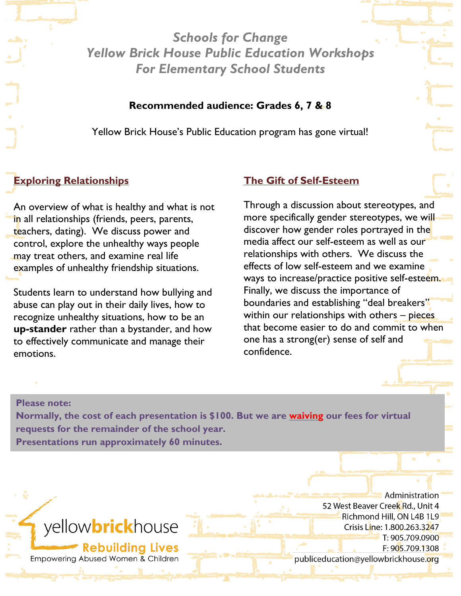*Schools for Change Yellow Brick House Public Education Workshops For Elementary School Students*

### **Recommended audience: Grades 6, 7 & 8**

Yellow Brick House's Public Education program has gone virtual!

# **Exploring Relationships**

An overview of what is healthy and what is not in all relationships (friends, peers, parents, teachers, dating). We discuss power and control, explore the unhealthy ways people may treat others, and examine real life examples of unhealthy friendship situations.

Students learn to understand how bullying and abuse can play out in their daily lives, how to recognize unhealthy situations, how to be an **up-stander** rather than a bystander, and how to effectively communicate and manage their emotions.

**Note: All boys workshops available upon** 

### **The Gift of Self-Esteem**

Through a discussion about stereotypes, and more specifically gender stereotypes, we will discover how gender roles portrayed in the media affect our self-esteem as well as our relationships with others. We discuss the effects of low self-esteem and we examine ways to increase/practice positive self-esteem. Finally, we discuss the importance of boundaries and establishing "deal breakers" within our relationships with others – pieces that become easier to do and commit to when one has a strong(er) sense of self and confidence.

#### **Please note:**

**request!**

**Normally, the cost of each presentation is \$100. But we are waiving our fees for virtual requests for the remainder of the school year. Presentations run approximately 60 minutes.**

# yellow**brick**house

**Rebuilding Lives** Empowering Abused Women & Children

Administration 52 West Beaver Creek Rd., Unit 4 Richmond Hill, ON L4B 1L9 Crisis Line: 1.800.263.3247 T: 905.709.0900 F: 905.709.1308 publiceducation@yellowbrickhouse.org